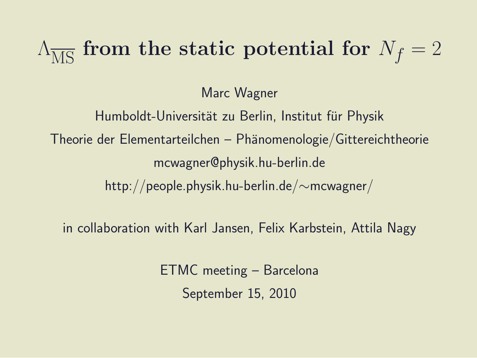# $\Lambda_{\overline{MS}}$  from the static potential for  $N_f = 2$

Marc Wagner

Humboldt-Universität zu Berlin, Institut für Physik  $Theorie$  der Elementarteilchen – Phänomenologie/Gittereichtheorie mcwagner@physik.hu-berlin.de http://people.physik.hu-berlin.de/∼mcwagner/

in collaboration with Karl Jansen, Felix Karbstein, Attila Nagy

ETMC meeting – Barcelona September 15, 2010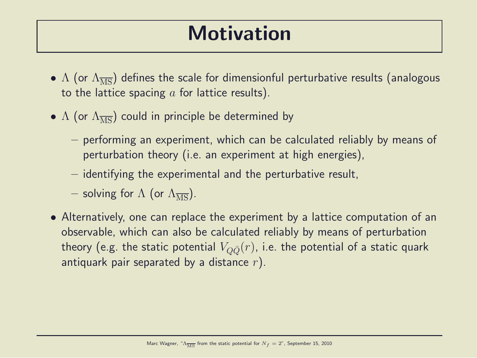#### Motivation

- $\Lambda$  (or  $\Lambda_{\overline{MS}}$ ) defines the scale for dimensionful perturbative results (analogous to the lattice spacing  $a$  for lattice results).
- $\Lambda$  (or  $\Lambda_{\overline{MS}}$ ) could in principle be determined by
	- performing an experiment, which can be calculated reliably by means of perturbation theory (i.e. an experiment at high energies),
	- identifying the experimental and the perturbative result,
	- solving for  $\Lambda$  (or  $\Lambda_{\overline{\rm MS}}$ ).
- Alternatively, one can replace the experiment by a lattice computation of an observable, which can also be calculated reliably by means of perturbation theory (e.g. the static potential  $V_{Q\bar{Q}}(r)$ , i.e. the potential of a static quark antiquark pair separated by a distance  $r$ ).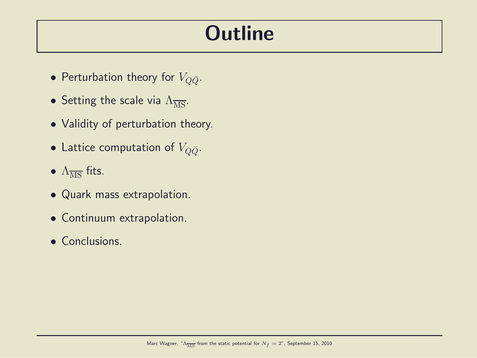#### **Outline**

- Perturbation theory for  $V_{\Omega\bar{Q}}$ .
- Setting the scale via  $\Lambda_{\overline{\text{MS}}}.$
- Validity of perturbation theory.
- Lattice computation of  $V_{Q\bar{Q}}$ .
- $\Lambda_{\overline{\rm MS}}$  fits.
- Quark mass extrapolation.
- Continuum extrapolation.
- Conclusions.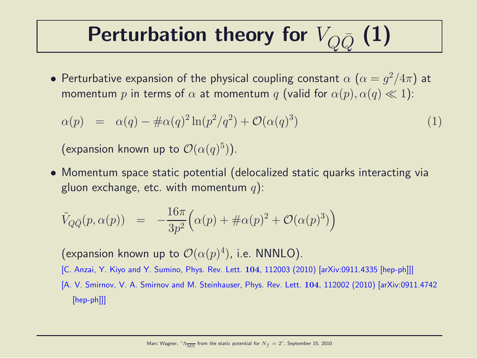# Perturbation theory for  $V_{\Omega\bar{\Omega}}(1)$

 $\bullet$  Perturbative expansion of the physical coupling constant  $\alpha$   $(\alpha=g^2/4\pi)$  at momentum p in terms of  $\alpha$  at momentum q (valid for  $\alpha(p), \alpha(q) \ll 1$ ):

$$
\alpha(p) = \alpha(q) - \# \alpha(q)^2 \ln(p^2/q^2) + \mathcal{O}(\alpha(q)^3)
$$
\n(1)

(expansion known up to  $\mathcal{O}(\alpha(q)^5)$ ).

• Momentum space static potential (delocalized static quarks interacting via gluon exchange, etc. with momentum  $q$ ):

$$
\tilde{V}_{Q\bar{Q}}(p,\alpha(p)) = -\frac{16\pi}{3p^2} \Big( \alpha(p) + \#\alpha(p)^2 + \mathcal{O}(\alpha(p)^3) \Big)
$$

(expansion known up to  $\mathcal{O}(\alpha(p)^4)$ , i.e. NNNLO).

- [C. Anzai, Y. Kiyo and Y. Sumino, Phys. Rev. Lett. 104, 112003 (2010) [arXiv:0911.4335 [hep-ph]]]
- [A. V. Smirnov, V. A. Smirnov and M. Steinhauser, Phys. Rev. Lett. 104, 112002 (2010) [arXiv:0911.4742 [hep-ph]]]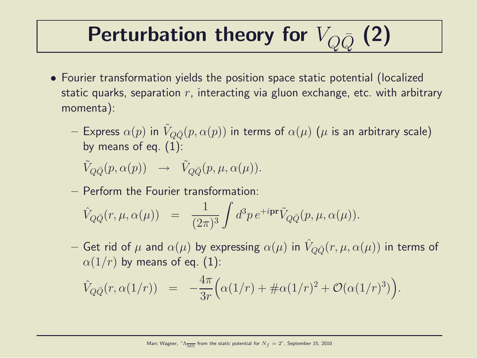# Perturbation theory for  $V_{\Omega\bar{\Omega}}(2)$

- Fourier transformation yields the position space static potential (localized static quarks, separation  $r$ , interacting via gluon exchange, etc. with arbitrary momenta):
	- $-$  Express  $\alpha(p)$  in  $\tilde{V}_{Q\bar{Q}}(p,\alpha(p))$  in terms of  $\alpha(\mu)$   $(\mu$  is an arbitrary scale) by means of eq.  $(1)$ :

 $\tilde{V}_{Q\bar{Q}}(p, \alpha(p)) \rightarrow \tilde{V}_{Q\bar{Q}}(p, \mu, \alpha(\mu)).$ 

– Perform the Fourier transformation:

$$
\hat{V}_{Q\bar{Q}}(r,\mu,\alpha(\mu)) = \frac{1}{(2\pi)^3} \int d^3p \, e^{+i\mathbf{p}\mathbf{r}} \tilde{V}_{Q\bar{Q}}(p,\mu,\alpha(\mu)).
$$

 $-$  Get rid of  $\mu$  and  $\alpha(\mu)$  by expressing  $\alpha(\mu)$  in  $\hat{V}_{Q\bar{Q}}(r,\mu,\alpha(\mu))$  in terms of  $\alpha(1/r)$  by means of eq. (1):

$$
\hat{V}_{Q\bar{Q}}(r,\alpha(1/r)) = -\frac{4\pi}{3r} \Big( \alpha(1/r) + \#\alpha(1/r)^2 + \mathcal{O}(\alpha(1/r)^3) \Big).
$$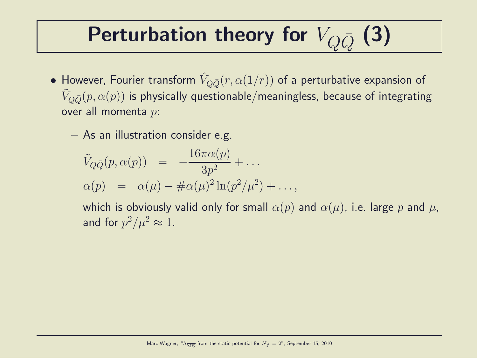# Perturbation theory for  $V_{\Omega\bar{\Omega}}(3)$

- $\bullet$  However, Fourier transform  $\hat{V}_{Q\bar{Q}}(r,\alpha(1/r))$  of a perturbative expansion of  $\tilde{V}_{Q\bar{Q}}(p,\alpha(p))$  is physically questionable/meaningless, because of integrating over all momenta p:
	- As an illustration consider e.g.

$$
\tilde{V}_{Q\bar{Q}}(p,\alpha(p)) = -\frac{16\pi\alpha(p)}{3p^2} + \dots
$$
  
\n
$$
\alpha(p) = \alpha(\mu) - \#\alpha(\mu)^2 \ln(p^2/\mu^2) + \dots,
$$

which is obviously valid only for small  $\alpha(p)$  and  $\alpha(\mu)$ , i.e. large p and  $\mu$ , and for  $p^2/\mu^2 \approx 1$ .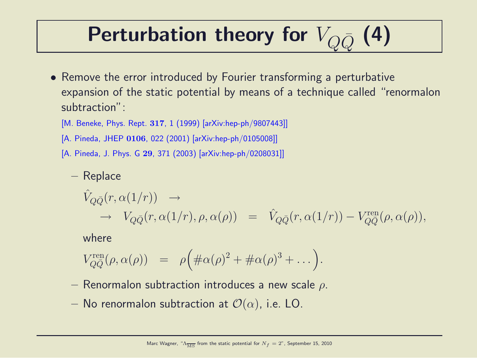# Perturbation theory for  $V_{\Omega\bar{\Omega}}(4)$

- Remove the error introduced by Fourier transforming a perturbative expansion of the static potential by means of a technique called "renormalon subtraction":
	- [M. Beneke, Phys. Rept. 317, 1 (1999) [arXiv:hep-ph/9807443]]
	- [A. Pineda, JHEP 0106, 022 (2001) [arXiv:hep-ph/0105008]]
	- [A. Pineda, J. Phys. G 29, 371 (2003) [arXiv:hep-ph/0208031]]
		- Replace

$$
\hat{V}_{Q\bar{Q}}(r,\alpha(1/r)) \rightarrow V_{Q\bar{Q}}(r,\alpha(1/r),\rho,\alpha(\rho)) = \hat{V}_{Q\bar{Q}}(r,\alpha(1/r)) - V_{Q\bar{Q}}^{\text{ren}}(\rho,\alpha(\rho)),
$$

where

$$
V_{Q\bar{Q}}^{\text{ren}}(\rho,\alpha(\rho)) = \rho \Big( \#\alpha(\rho)^2 + \#\alpha(\rho)^3 + \dots \Big).
$$

- Renormalon subtraction introduces a new scale  $\rho$ .
- No renormalon subtraction at  $\mathcal{O}(\alpha)$ , i.e. LO.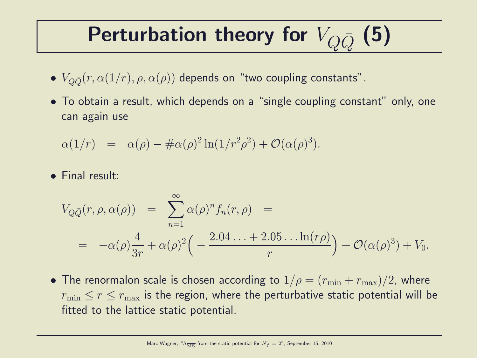# Perturbation theory for  $V_{\Omega\bar{\Omega}}$  (5)

- $V_{Q\bar{Q}}(r, \alpha(1/r), \rho, \alpha(\rho))$  depends on "two coupling constants".
- To obtain a result, which depends on a "single coupling constant" only, one can again use

$$
\alpha(1/r) = \alpha(\rho) - \# \alpha(\rho)^2 \ln(1/r^2 \rho^2) + \mathcal{O}(\alpha(\rho)^3).
$$

• Final result:

$$
V_{Q\bar{Q}}(r,\rho,\alpha(\rho)) = \sum_{n=1}^{\infty} \alpha(\rho)^n f_n(r,\rho) =
$$
  
=  $-\alpha(\rho)\frac{4}{3r} + \alpha(\rho)^2 \left(-\frac{2.04\ldots + 2.05\ldots \ln(r\rho)}{r}\right) + \mathcal{O}(\alpha(\rho)^3) + V_0.$ 

• The renormalon scale is chosen according to  $1/\rho = (r_{\min} + r_{\max})/2$ , where  $r_{\min} \le r \le r_{\max}$  is the region, where the perturbative static potential will be fitted to the lattice static potential.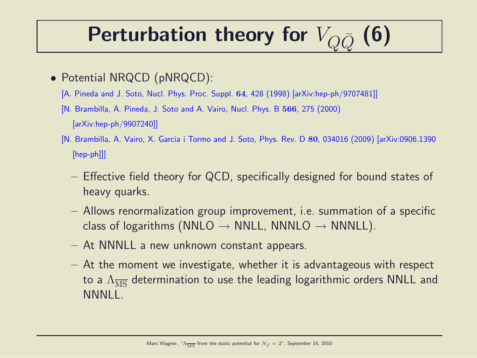# Perturbation theory for  $V_{\Omega\bar{\Omega}}(6)$

- Potential NRQCD (pNRQCD):
	- [A. Pineda and J. Soto, Nucl. Phys. Proc. Suppl. 64, 428 (1998) [arXiv:hep-ph/9707481]]
	- [N. Brambilla, A. Pineda, J. Soto and A. Vairo, Nucl. Phys. B 566, 275 (2000) [arXiv:hep-ph/9907240]]
	- [N. Brambilla, A. Vairo, X. Garcia i Tormo and J. Soto, Phys. Rev. D 80, 034016 (2009) [arXiv:0906.1390 [hep-ph]]]
		- Effective field theory for QCD, specifically designed for bound states of heavy quarks.
		- Allows renormalization group improvement, i.e. summation of a specific class of logarithms (NNLO  $\rightarrow$  NNLL, NNNLO  $\rightarrow$  NNNLL).
		- At NNNLL a new unknown constant appears.
		- $-$  At the moment we investigate, whether it is advantageous with respect to a  $\Lambda_{\overline{\rm MS}}$  determination to use the leading logarithmic orders NNLL and NNNLL.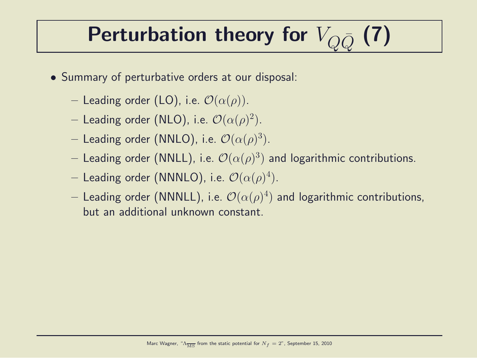# Perturbation theory for  $V_{\Omega\bar{\Omega}}$  (7)

- Summary of perturbative orders at our disposal:
	- Leading order (LO), i.e.  $\mathcal{O}(\alpha(\rho))$ .
	- $-$  Leading order (NLO), i.e.  $\mathcal{O}(\alpha(\rho)^2).$
	- $-$  Leading order (NNLO), i.e.  $\mathcal{O}(\alpha(\rho)^3).$
	- $-$  Leading order (NNLL), i.e.  $\mathcal{O}(\alpha(\rho)^3)$  and logarithmic contributions.
	- $-$  Leading order (NNNLO), i.e.  $\mathcal{O}(\alpha(\rho)^4).$
	- $-$  Leading order (NNNLL), i.e.  $\mathcal{O}(\alpha(\rho)^4)$  and logarithmic contributions, but an additional unknown constant.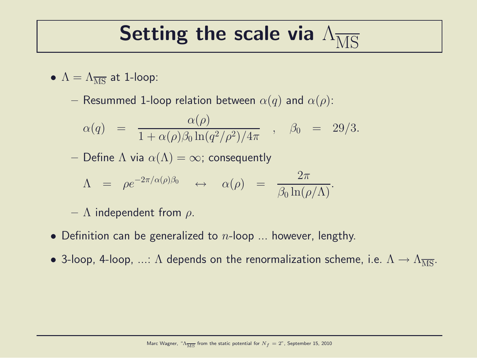### Setting the scale via  $\Lambda_{\overline{\rm MS}}$

$$
\bullet\ \Lambda=\Lambda_{\overline{\rm MS}}\ \text{at}\ 1\text{-loop:}\quad
$$

– Resummed 1-loop relation between  $\alpha(q)$  and  $\alpha(\rho)$ :

$$
\alpha(q) = \frac{\alpha(\rho)}{1 + \alpha(\rho)\beta_0 \ln(q^2/\rho^2)/4\pi} , \quad \beta_0 = 29/3.
$$

– Define  $\Lambda$  via  $\alpha(\Lambda) = \infty$ ; consequently

$$
\Lambda = \rho e^{-2\pi/\alpha(\rho)\beta_0} \leftrightarrow \alpha(\rho) = \frac{2\pi}{\beta_0 \ln(\rho/\Lambda)}.
$$

 $- \Lambda$  independent from  $\rho$ .

- Definition can be generalized to  $n$ -loop ... however, lengthy.
- 3-loop, 4-loop, ...:  $\Lambda$  depends on the renormalization scheme, i.e.  $\Lambda \to \Lambda_{\overline{MS}}$ .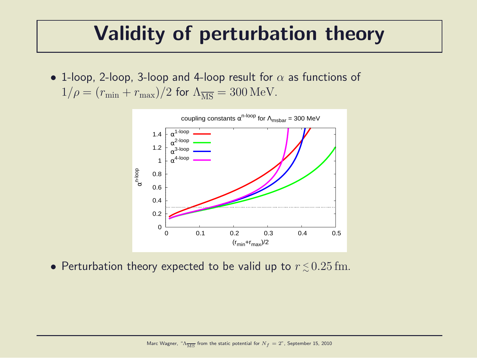#### Validity of perturbation theory

• 1-loop, 2-loop, 3-loop and 4-loop result for  $\alpha$  as functions of  $1/\rho = (r_{\min} + r_{\max})/2$  for  $\Lambda_{\overline{MS}} = 300 \,\text{MeV}$ .



• Perturbation theory expected to be valid up to  $r \lesssim 0.25\,\mathrm{fm}.$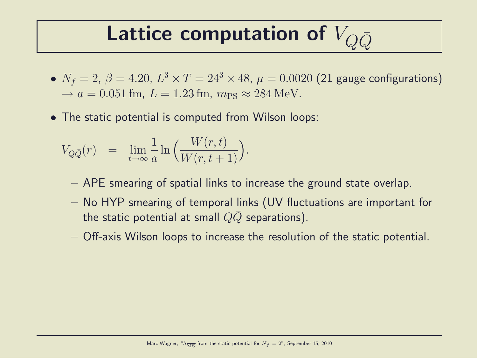#### Lattice computation of  $V_{\Omega\bar{O}}$

- $\bullet$   $N_f=2$ ,  $\beta=4.20$ ,  $L^3\times T=24^3\times 48$ ,  $\mu=0.0020$  (21 gauge configurations)  $\rightarrow a = 0.051$  fm,  $L = 1.23$  fm,  $m_{\text{PS}} \approx 284$  MeV.
- The static potential is computed from Wilson loops:

$$
V_{Q\bar{Q}}(r) = \lim_{t \to \infty} \frac{1}{a} \ln \left( \frac{W(r,t)}{W(r,t+1)} \right).
$$

- APE smearing of spatial links to increase the ground state overlap.
- No HYP smearing of temporal links (UV fluctuations are important for the static potential at small  $QQ$  separations).
- Off-axis Wilson loops to increase the resolution of the static potential.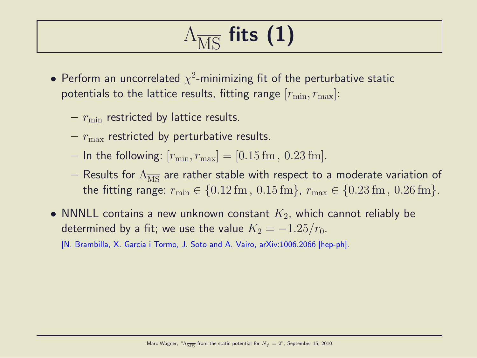# $\Lambda_{\overline{\text{M}}\text{C}}$  fits (1)

- $\bullet$  Perform an uncorrelated  $\chi^2$ -minimizing fit of the perturbative static potentials to the lattice results, fitting range  $[r_{\min}, r_{\max}]$ :
	- $r_{\text{min}}$  restricted by lattice results.
	- $r_{\text{max}}$  restricted by perturbative results.
	- In the following:  $[r_{\min}, r_{\max}] = [0.15 \text{ fm}, 0.23 \text{ fm}].$
	- Results for  $\Lambda_{\overline{MS}}$  are rather stable with respect to a moderate variation of the fitting range:  $r_{\min} \in \{0.12 \,\text{fm}, 0.15 \,\text{fm}\}, r_{\max} \in \{0.23 \,\text{fm}, 0.26 \,\text{fm}\}.$
- NNNLL contains a new unknown constant  $K_2$ , which cannot reliably be determined by a fit; we use the value  $K_2 = -1.25/r_0$ .

[N. Brambilla, X. Garcia i Tormo, J. Soto and A. Vairo, arXiv:1006.2066 [hep-ph].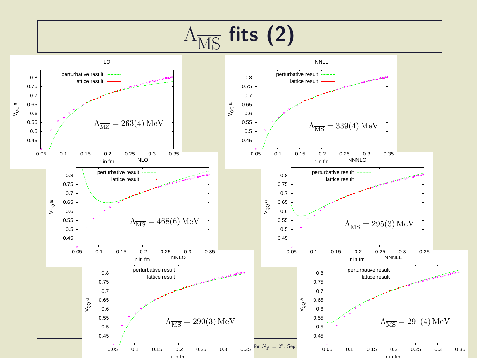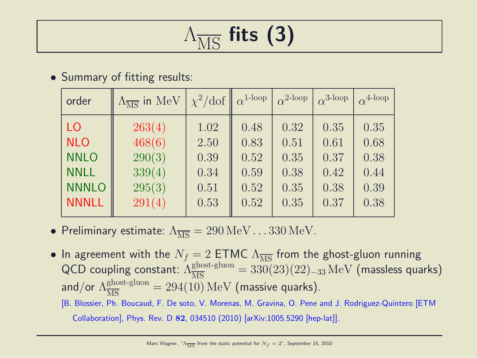# $\Lambda_{\overline{\rm MC}}$  fits (3)

#### • Summary of fitting results:

| order        | $\Lambda_{\overline{\rm MS}}$ in MeV | $\chi^2/\text{dof}$ | $\alpha^{1-loop}$ | $\alpha^{2-loop}$ | $\alpha^{3\text{-loop}}$ | $\alpha^{4-loop}$ |
|--------------|--------------------------------------|---------------------|-------------------|-------------------|--------------------------|-------------------|
| LO           | 263(4)                               | 1.02                | 0.48              | 0.32              | 0.35                     | 0.35              |
| <b>NLO</b>   | 468(6)                               | 2.50                | 0.83              | 0.51              | 0.61                     | 0.68              |
| <b>NNLO</b>  | 290(3)                               | 0.39                | 0.52              | 0.35              | 0.37                     | 0.38              |
| <b>NNLL</b>  | 339(4)                               | 0.34                | 0.59              | 0.38              | 0.42                     | 0.44              |
| <b>NNNLO</b> | 295(3)                               | 0.51                | 0.52              | 0.35              | 0.38                     | 0.39              |
| <b>NNNLL</b> | 291(4)                               | 0.53                | 0.52              | 0.35              | 0.37                     | 0.38              |

- Preliminary estimate:  $\Lambda_{\overline{\text{MS}}} = 290 \,\text{MeV} \dots 330 \,\text{MeV}$ .
- In agreement with the  $N_f = 2$  ETMC  $\Lambda_{\overline{\rm MS}}$  from the ghost-gluon running QCD coupling constant:  $\Lambda_{\overline{\rm MS}}^{\rm ghost-gluon} = 330(23)(22)_{-33}\,{\rm MeV}$  (massless quarks) and/or  $\Lambda_{\overline{\rm MS}}^{\rm ghost-gluon}=294(10)\,{\rm MeV}$  (massive quarks).
	- [B. Blossier, Ph. Boucaud, F. De soto, V. Morenas, M. Gravina, O. Pene and J. Rodriguez-Quintero [ETM Collaboration], Phys. Rev. D 82, 034510 (2010) [arXiv:1005.5290 [hep-lat]].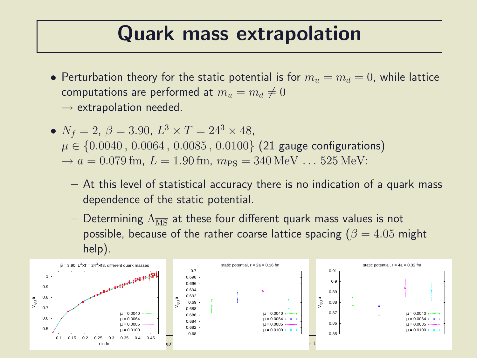#### Quark mass extrapolation

- Perturbation theory for the static potential is for  $m_u = m_d = 0$ , while lattice computations are performed at  $m_u = m_d \neq 0$  $\rightarrow$  extrapolation needed.
- $N_f = 2, \ \beta = 3.90, \ L^3 \times T = 24^3 \times 48,$  $\mu \in \{0.0040, 0.0064, 0.0085, 0.0100\}$  (21 gauge configurations)  $\rightarrow a = 0.079$  fm,  $L = 1.90$  fm,  $m_{PS} = 340$  MeV  $\ldots$  525 MeV:
	- At this level of statistical accuracy there is no indication of a quark mass dependence of the static potential.
	- Determining  $\Lambda_{\overline{\rm MS}}$  at these four different quark mass values is not possible, because of the rather coarse lattice spacing ( $\beta = 4.05$  might help).

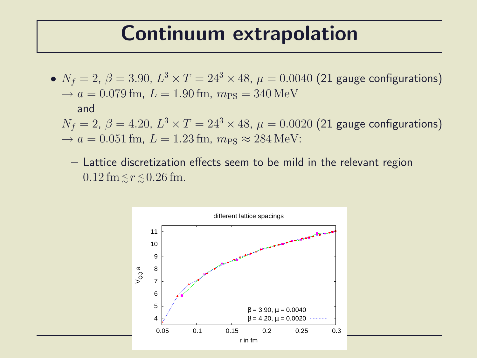#### Continuum extrapolation

 $\bullet$   $N_f=2$ ,  $\beta=3.90$ ,  $L^3\times T=24^3\times 48$ ,  $\mu=0.0040$  (21 gauge configurations)  $\rightarrow a = 0.079$  fm,  $L = 1.90$  fm,  $m_{PS} = 340$  MeV and  $N_f=2, \, \beta=4.20, \, L^3\times T=24^3\times 48, \, \mu=0.0020$   $(21$  gauge configurations)

 $\rightarrow a = 0.051$  fm,  $L = 1.23$  fm,  $m_{PS} \approx 284$  MeV:

– Lattice discretization effects seem to be mild in the relevant region  $0.12 \,\mathrm{fm} \lesssim r \lesssim 0.26 \,\mathrm{fm}.$